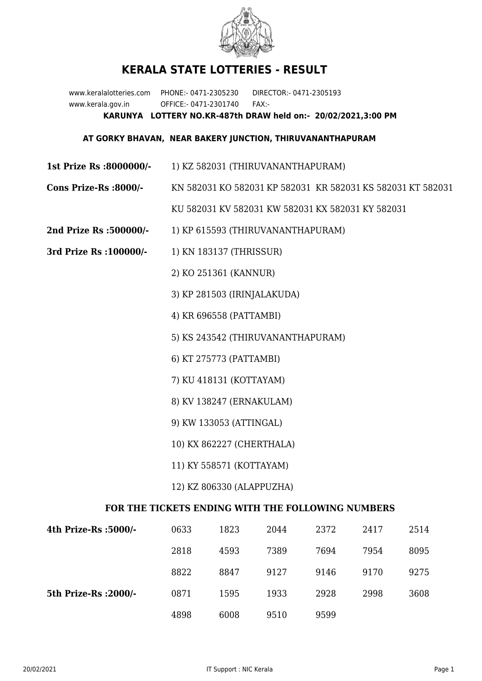

## **KERALA STATE LOTTERIES - RESULT**

www.keralalotteries.com PHONE:- 0471-2305230 DIRECTOR:- 0471-2305193 www.kerala.gov.in OFFICE:- 0471-2301740 FAX:- **KARUNYA LOTTERY NO.KR-487th DRAW held on:- 20/02/2021,3:00 PM**

## **AT GORKY BHAVAN, NEAR BAKERY JUNCTION, THIRUVANANTHAPURAM**

- **1st Prize Rs :8000000/-** 1) KZ 582031 (THIRUVANANTHAPURAM)
- **Cons Prize-Rs :8000/-** KN 582031 KO 582031 KP 582031 KR 582031 KS 582031 KT 582031 KU 582031 KV 582031 KW 582031 KX 582031 KY 582031
- **2nd Prize Rs :500000/-** 1) KP 615593 (THIRUVANANTHAPURAM)
- **3rd Prize Rs :100000/-** 1) KN 183137 (THRISSUR)
	- 2) KO 251361 (KANNUR)
	- 3) KP 281503 (IRINJALAKUDA)
	- 4) KR 696558 (PATTAMBI)
	- 5) KS 243542 (THIRUVANANTHAPURAM)
	- 6) KT 275773 (PATTAMBI)
	- 7) KU 418131 (KOTTAYAM)
	- 8) KV 138247 (ERNAKULAM)
	- 9) KW 133053 (ATTINGAL)
	- 10) KX 862227 (CHERTHALA)
	- 11) KY 558571 (KOTTAYAM)
	- 12) KZ 806330 (ALAPPUZHA)

## **FOR THE TICKETS ENDING WITH THE FOLLOWING NUMBERS**

| 4th Prize-Rs :5000/-  | 0633 | 1823 | 2044 | 2372 | 2417 | 2514 |
|-----------------------|------|------|------|------|------|------|
|                       | 2818 | 4593 | 7389 | 7694 | 7954 | 8095 |
|                       | 8822 | 8847 | 9127 | 9146 | 9170 | 9275 |
| 5th Prize-Rs : 2000/- | 0871 | 1595 | 1933 | 2928 | 2998 | 3608 |
|                       | 4898 | 6008 | 9510 | 9599 |      |      |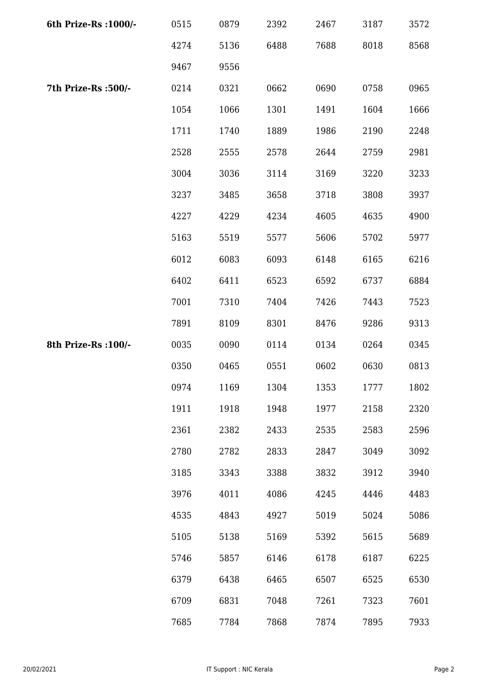| 6th Prize-Rs : 1000/- | 0515 | 0879 | 2392 | 2467 | 3187 | 3572 |
|-----------------------|------|------|------|------|------|------|
|                       | 4274 | 5136 | 6488 | 7688 | 8018 | 8568 |
|                       | 9467 | 9556 |      |      |      |      |
| 7th Prize-Rs :500/-   | 0214 | 0321 | 0662 | 0690 | 0758 | 0965 |
|                       | 1054 | 1066 | 1301 | 1491 | 1604 | 1666 |
|                       | 1711 | 1740 | 1889 | 1986 | 2190 | 2248 |
|                       | 2528 | 2555 | 2578 | 2644 | 2759 | 2981 |
|                       | 3004 | 3036 | 3114 | 3169 | 3220 | 3233 |
|                       | 3237 | 3485 | 3658 | 3718 | 3808 | 3937 |
|                       | 4227 | 4229 | 4234 | 4605 | 4635 | 4900 |
|                       | 5163 | 5519 | 5577 | 5606 | 5702 | 5977 |
|                       | 6012 | 6083 | 6093 | 6148 | 6165 | 6216 |
|                       | 6402 | 6411 | 6523 | 6592 | 6737 | 6884 |
|                       | 7001 | 7310 | 7404 | 7426 | 7443 | 7523 |
|                       | 7891 | 8109 | 8301 | 8476 | 9286 | 9313 |
| 8th Prize-Rs : 100/-  | 0035 | 0090 | 0114 | 0134 | 0264 | 0345 |
|                       | 0350 | 0465 | 0551 | 0602 | 0630 | 0813 |
|                       | 0974 | 1169 | 1304 | 1353 | 1777 | 1802 |
|                       | 1911 | 1918 | 1948 | 1977 | 2158 | 2320 |
|                       | 2361 | 2382 | 2433 | 2535 | 2583 | 2596 |
|                       | 2780 | 2782 | 2833 | 2847 | 3049 | 3092 |
|                       | 3185 | 3343 | 3388 | 3832 | 3912 | 3940 |
|                       | 3976 | 4011 | 4086 | 4245 | 4446 | 4483 |
|                       | 4535 | 4843 | 4927 | 5019 | 5024 | 5086 |
|                       | 5105 | 5138 | 5169 | 5392 | 5615 | 5689 |
|                       | 5746 | 5857 | 6146 | 6178 | 6187 | 6225 |
|                       | 6379 | 6438 | 6465 | 6507 | 6525 | 6530 |
|                       | 6709 | 6831 | 7048 | 7261 | 7323 | 7601 |
|                       | 7685 | 7784 | 7868 | 7874 | 7895 | 7933 |